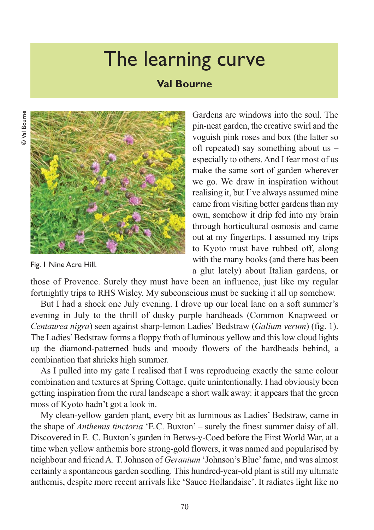## The learning curve

## **Val Bourne**



Fig. 1 Nine Acre Hill.

Gardens are windows into the soul. The pin-neat garden, the creative swirl and the voguish pink roses and box (the latter so oft repeated) say something about us – especially to others. And I fear most of us make the same sort of garden wherever we go. We draw in inspiration without realising it, but I've always assumed mine came from visiting better gardens than my own, somehow it drip fed into my brain through horticultural osmosis and came out at my fingertips. I assumed my trips to Kyoto must have rubbed off, along with the many books (and there has been a glut lately) about Italian gardens, or

those of Provence. Surely they must have been an influence, just like my regular fortnightly trips to RHS Wisley. My subconscious must be sucking it all up somehow.

But I had a shock one July evening. I drove up our local lane on a soft summer's evening in July to the thrill of dusky purple hardheads (Common Knapweed or *Centaurea nigra*) seen against sharp-lemon Ladies' Bedstraw (*Galium verum* ) (fig. 1). The Ladies' Bedstraw forms a floppy froth of luminous yellow and this low cloud lights up the diamond-patterned buds and moody flowers of the hardheads behind, a combination that shrieks high summer.

As I pulled into my gate I realised that I was reproducing exactly the same colour combination and textures at Spring Cottage, quite unintentionally. I had obviously been getting inspiration from the rural landscape a short walk away: it appears that the green moss of Kyoto hadn't got a look in.

My clean-yellow garden plant, every bit as luminous as Ladies' Bedstraw, came in the shape of *Anthemis tinctoria* 'E.C. Buxton' – surely the finest summer daisy of all. Discovered in E. C. Buxton's garden in Betws-y-Coed before the First World War, at a time when yellow anthemis bore strong-gold flowers, it was named and popularised by neighbour and friend A. T. Johnson of *Geranium* 'Johnson's Blue' fame, and was almost certainly a spontaneous garden seedling. This hundred-year-old plant is still my ultimate anthemis, despite more recent arrivals like 'Sauce Hollandaise'. It radiates light like no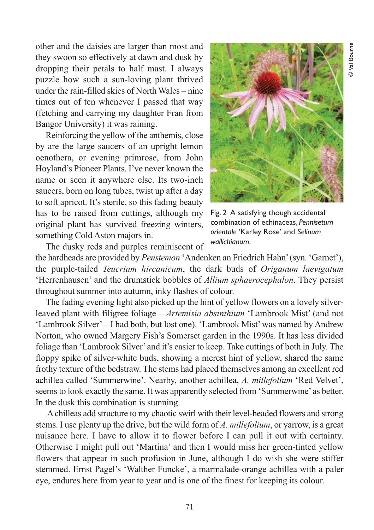other and the daisies are larger than most and they swoon so effectively at dawn and dusk by dropping their petals to half mast. I always puzzle how such a sun-loving plant thrived under the rain-filled skies of North Wales – nine times out of ten whenever I passed that way (fetching and carrying my daughter Fran from Bangor University) it was raining.

Reinforcing the yellow of the anthemis, close by are the large saucers of an upright lemon oenothera, or evening primrose, from John Hoyland's Pioneer Plants. I've never known the name or seen it anywhere else. Its two-inch saucers, born on long tubes, twist up after a day to soft apricot. It's sterile, so this fading beauty has to be raised from cuttings, although my original plant has survived freezing winters, something Cold Aston majors in.



Fig. 2 A satisfying though accidental combination of echinaceas, *Pennisetum orientale* 'Karley Rose' and *Selinum wallichianum*.

The dusky reds and purples reminiscent of

the hardheads are provided by *Penstemon* 'Andenken an Friedrich Hahn' (syn. 'Garnet'), the purple-tailed *Teucrium hircanicum*, the dark buds of *Origanum laevigatum* 'Herrenhausen' and the drumstick bobbles of *Allium sphaerocephalon*. They persist throughout summer into autumn, inky flashes of colour.

The fading evening light also picked up the hint of yellow flowers on a lovely silverleaved plant with filigree foliage – *Artemisia absinthium* 'Lambrook Mist' (and not 'Lambrook Silver' – I had both, but lost one). 'Lambrook Mist' was named by Andrew Norton, who owned Margery Fish's Somerset garden in the 1990s. It has less divided foliage than 'Lambrook Silver' and it's easier to keep. Take cuttings of both in July. The floppy spike of silver-white buds, showing a merest hint of yellow, shared the same frothy texture of the bedstraw. The stems had placed themselves among an excellent red achillea called 'Summerwine'. Nearby, another achillea, *A. millefolium* 'Red Velvet', seems to look exactly the same. It was apparently selected from 'Summerwine' as better. In the dusk this combination is stunning.

A chilleas add structure to my chaotic swirl with their level-headed flowers and strong stems. I use plenty up the drive, but the wild form of *A. millefolium*, or yarrow, is a great nuisance here. I have to allow it to flower before I can pull it out with certainty. Otherwise I might pull out 'Martina' and then I would miss her green-tinted yellow flowers that appear in such profusion in June, although I do wish she were stiffer stemmed. Ernst Pagel's 'Walther Funcke', a marmalade-orange achillea with a paler eye, endures here from year to year and is one of the finest for keeping its colour.